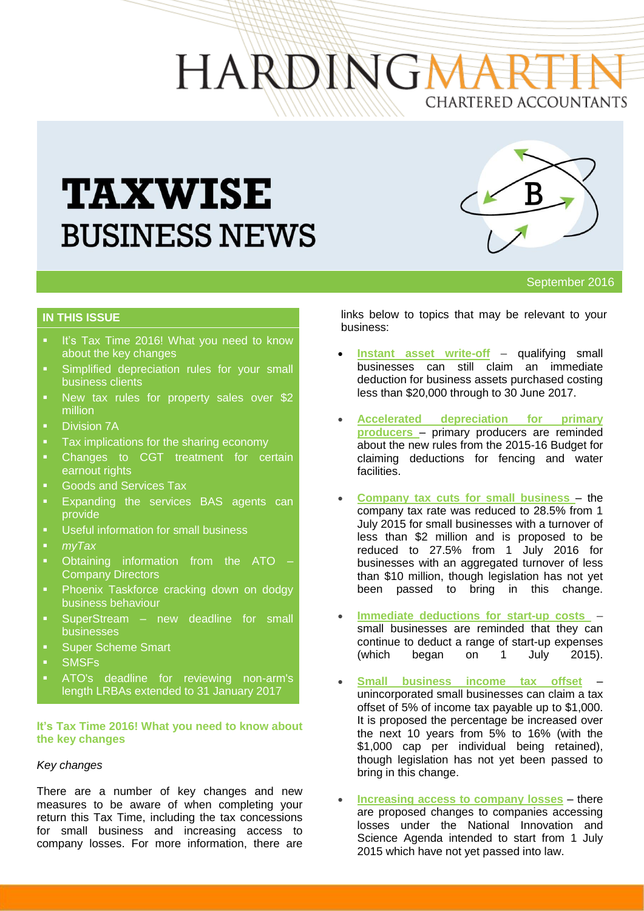# HARDINGN CHARTERED ACCOUNTANTS

# **TAXWISE BUSINESS NEWS**



September 2016

# **IN THIS ISSUE**

- It's [Tax Time 2016! What you need to know](http://taxinstitute.us7.list-manage1.com/track/click?u=59eba50675aaae33d12f1f12c&id=11502b4105&e=6fd6181ded)  [about the key changes](http://taxinstitute.us7.list-manage1.com/track/click?u=59eba50675aaae33d12f1f12c&id=11502b4105&e=6fd6181ded)
- [Simplified depreciation rules for your small](http://taxinstitute.us7.list-manage.com/track/click?u=59eba50675aaae33d12f1f12c&id=41974280dd&e=6fd6181ded)  [business clients](http://taxinstitute.us7.list-manage.com/track/click?u=59eba50675aaae33d12f1f12c&id=41974280dd&e=6fd6181ded)
- [New tax rules for property sales over \\$2](http://taxinstitute.us7.list-manage.com/track/click?u=59eba50675aaae33d12f1f12c&id=600a4b80fb&e=6fd6181ded)  [million](http://taxinstitute.us7.list-manage.com/track/click?u=59eba50675aaae33d12f1f12c&id=600a4b80fb&e=6fd6181ded)
- **Division 7A**
- **[Tax implications for the sharing economy](http://taxinstitute.us7.list-manage.com/track/click?u=59eba50675aaae33d12f1f12c&id=6475a2662c&e=6fd6181ded)**
- **•** Changes to CGT treatment for certain [earnout rights](http://taxinstitute.us7.list-manage.com/track/click?u=59eba50675aaae33d12f1f12c&id=85de398961&e=6fd6181ded)
- Goods and Services Tax
- [Expanding the services BAS](http://taxinstitute.us7.list-manage.com/track/click?u=59eba50675aaae33d12f1f12c&id=034a2f9926&e=6fd6181ded) agents can [provide](http://taxinstitute.us7.list-manage.com/track/click?u=59eba50675aaae33d12f1f12c&id=034a2f9926&e=6fd6181ded)
- **Useful information for small business**
- *myTax*
- **•** Obtaining information from the ATO [Company Directors](http://taxinstitute.us7.list-manage1.com/track/click?u=59eba50675aaae33d12f1f12c&id=b4408ba215&e=6fd6181ded)
- [Phoenix Taskforce cracking down on dodgy](http://taxinstitute.us7.list-manage.com/track/click?u=59eba50675aaae33d12f1f12c&id=be636eed80&e=6fd6181ded)  [business behaviour](http://taxinstitute.us7.list-manage.com/track/click?u=59eba50675aaae33d12f1f12c&id=be636eed80&e=6fd6181ded)
- [SuperStream –](http://taxinstitute.us7.list-manage.com/track/click?u=59eba50675aaae33d12f1f12c&id=975b4b17e9&e=6fd6181ded) new deadline for small businesses
- [Super Scheme Smart](http://taxinstitute.us7.list-manage.com/track/click?u=59eba50675aaae33d12f1f12c&id=92890626d7&e=6fd6181ded)
- **SMSFs**
- [ATO's deadline for reviewing non-arm's](http://taxinstitute.us7.list-manage.com/track/click?u=59eba50675aaae33d12f1f12c&id=7d480b9975&e=6fd6181ded)  [length LRBAs extended to 31 January 2017](http://taxinstitute.us7.list-manage.com/track/click?u=59eba50675aaae33d12f1f12c&id=7d480b9975&e=6fd6181ded)

#### **It's [Tax Time 2016! What you need to know about](http://taxinstitute.us7.list-manage1.com/track/click?u=59eba50675aaae33d12f1f12c&id=11502b4105&e=6fd6181ded)  [the key changes](http://taxinstitute.us7.list-manage1.com/track/click?u=59eba50675aaae33d12f1f12c&id=11502b4105&e=6fd6181ded)**

## *Key changes*

There are a number of key changes and new measures to be aware of when completing your return this Tax Time, including the tax concessions for small business and increasing access to company losses. For more information, there are

links below to topics that may be relevant to your business:

- **[Instant asset write-off](https://www.ato.gov.au/Tax-professionals/Prepare-and-lodge/Tax-Time-2016/Overview-of-key-changes/#Simplifieddepreciationforsmallbusiness)** qualifying small businesses can still claim an immediate deduction for business assets purchased costing less than \$20,000 through to 30 June 2017.
- **[Accelerated depreciation for primary](http://taxinstitute.us7.list-manage.com/track/click?u=59eba50675aaae33d12f1f12c&id=32faa67904&e=6fd6181ded)  [producers](http://taxinstitute.us7.list-manage.com/track/click?u=59eba50675aaae33d12f1f12c&id=32faa67904&e=6fd6181ded)** – primary producers are reminded about the new rules from the 2015-16 Budget for claiming deductions for fencing and water facilities.
- **[Company tax cuts for small business](http://taxinstitute.us7.list-manage1.com/track/click?u=59eba50675aaae33d12f1f12c&id=57064d6bb8&e=6fd6181ded)** the company tax rate was reduced to 28.5% from 1 July 2015 for small businesses with a turnover of less than \$2 million and is proposed to be reduced to 27.5% from 1 July 2016 for businesses with an aggregated turnover of less than \$10 million, though legislation has not yet been passed to bring in this change.
- **[Immediate deductions for start-up costs](http://taxinstitute.us7.list-manage1.com/track/click?u=59eba50675aaae33d12f1f12c&id=816de990a6&e=6fd6181ded)** small businesses are reminded that they can continue to deduct a range of start-up expenses (which began on 1 July 2015).
- **[Small business income tax offset](http://taxinstitute.us7.list-manage1.com/track/click?u=59eba50675aaae33d12f1f12c&id=74667a70e1&e=6fd6181ded)** unincorporated small businesses can claim a tax offset of 5% of income tax payable up to \$1,000. It is proposed the percentage be increased over the next 10 years from 5% to 16% (with the \$1,000 cap per individual being retained), though legislation has not yet been passed to bring in this change.
- **[Increasing access to company losses](http://taxinstitute.us7.list-manage.com/track/click?u=59eba50675aaae33d12f1f12c&id=b6130b61e8&e=6fd6181ded)** there are proposed changes to companies accessing losses under the National Innovation and Science Agenda intended to start from 1 July 2015 which have not yet passed into law.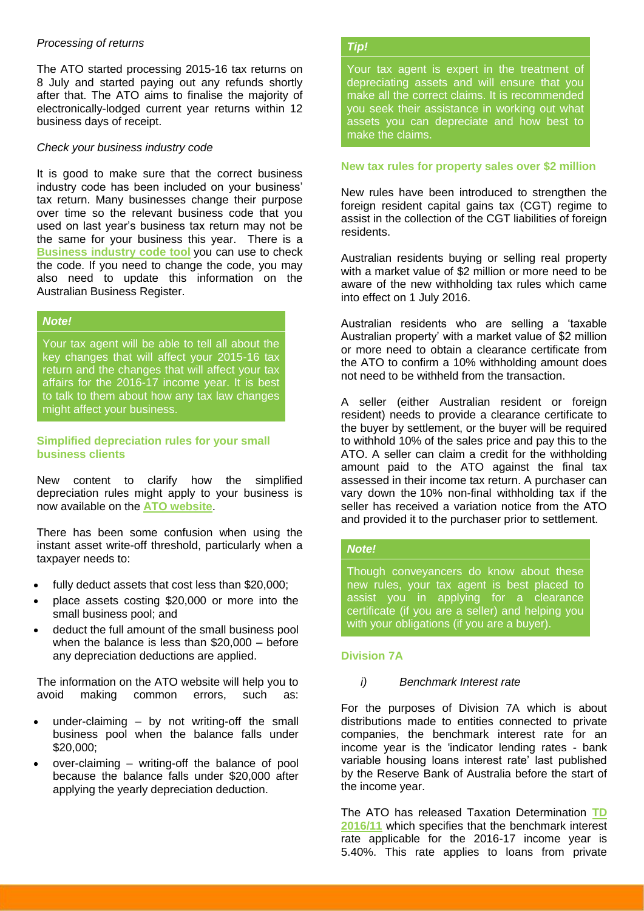#### *Processing of returns*

The ATO started processing 2015-16 tax returns on 8 July and started paying out any refunds shortly after that. The ATO aims to finalise the majority of electronically-lodged current year returns within 12 business days of receipt.

#### *Check your business industry code*

It is good to make sure that the correct business industry code has been included on your business' tax return. Many businesses change their purpose over time so the relevant business code that you used on last year's business tax return may not be the same for your business this year. There is a **[Business industry code tool](http://taxinstitute.us7.list-manage2.com/track/click?u=59eba50675aaae33d12f1f12c&id=9a835ac448&e=6fd6181ded)** you can use to check the code. If you need to change the code, you may also need to update this information on the Australian Business Register.

# *Note!*

Your tax agent will be able to tell all about the key changes that will affect your 2015-16 tax return and the changes that will affect your tax affairs for the 2016-17 income year. It is best to talk to them about how any tax law changes might affect your business.

## **[Simplified depreciation rules for your small](http://taxinstitute.us7.list-manage.com/track/click?u=59eba50675aaae33d12f1f12c&id=41974280dd&e=6fd6181ded)  [business clients](http://taxinstitute.us7.list-manage.com/track/click?u=59eba50675aaae33d12f1f12c&id=41974280dd&e=6fd6181ded)**

New content to clarify how the simplified depreciation rules might apply to your business is now available on the **[ATO website](https://www.ato.gov.au/Tax-professionals/Newsroom/Income-tax/Understanding-simplified-depreciation-rules-made-easier/?landingpage)**.

There has been some confusion when using the instant asset write-off threshold, particularly when a taxpayer needs to:

- fully deduct assets that cost less than \$20,000;
- place assets costing \$20,000 or more into the small business pool; and
- deduct the full amount of the small business pool when the balance is less than \$20,000 – before any depreciation deductions are applied.

The information on the ATO website will help you to avoid making common errors, such as:

- under-claiming by not writing-off the small business pool when the balance falls under \$20,000;
- over-claiming writing-off the balance of pool because the balance falls under \$20,000 after applying the yearly depreciation deduction.

#### *Tip!*

Your tax agent is expert in the treatment of depreciating assets and will ensure that you make all the correct claims. It is recommended you seek their assistance in working out what assets you can depreciate and how best to make the claims.

#### **[New tax rules for property sales over \\$2 million](http://taxinstitute.us7.list-manage.com/track/click?u=59eba50675aaae33d12f1f12c&id=600a4b80fb&e=6fd6181ded)**

New rules have been introduced to strengthen the foreign resident capital gains tax (CGT) regime to assist in the collection of the CGT liabilities of foreign residents.

Australian residents buying or selling real property with a market value of \$2 million or more need to be aware of the new withholding tax rules which came into effect on 1 July 2016.

Australian residents who are selling a 'taxable Australian property' with a market value of \$2 million or more need to obtain a clearance certificate from the ATO to confirm a 10% withholding amount does not need to be withheld from the transaction.

A seller (either Australian resident or foreign resident) needs to provide a clearance certificate to the buyer by settlement, or the buyer will be required to withhold 10% of the sales price and pay this to the ATO. A seller can claim a credit for the withholding amount paid to the ATO against the final tax assessed in their income tax return. A purchaser can vary down the 10% non-final withholding tax if the seller has received a variation notice from the ATO and provided it to the purchaser prior to settlement.

## *Note!*

Though conveyancers do know about these new rules, your tax agent is best placed to assist you in applying for a clearance certificate (if you are a seller) and helping you with your obligations (if you are a buyer).

## **Division 7A**

#### *i) Benchmark Interest rate*

For the purposes of Division 7A which is about distributions made to entities connected to private companies, the benchmark interest rate for an income year is the 'indicator lending rates - bank variable housing loans interest rate' last published by the Reserve Bank of Australia before the start of the income year.

The ATO has released Taxation Determination **[TD](http://taxinstitute.us7.list-manage1.com/track/click?u=59eba50675aaae33d12f1f12c&id=b044d3a008&e=6fd6181ded)  [2016/11](http://taxinstitute.us7.list-manage1.com/track/click?u=59eba50675aaae33d12f1f12c&id=b044d3a008&e=6fd6181ded)** which specifies that the benchmark interest rate applicable for the 2016-17 income year is 5.40%. This rate applies to loans from private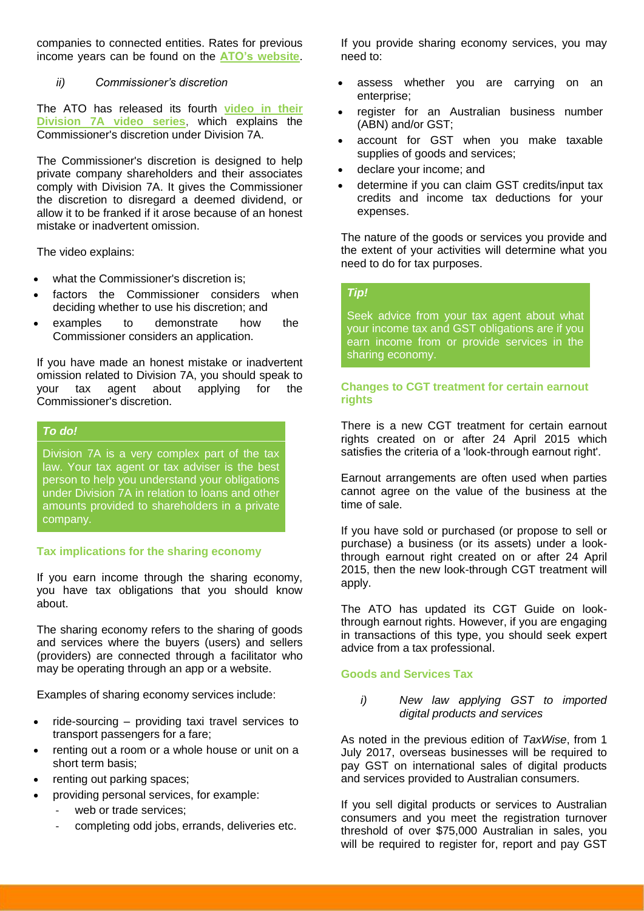companies to connected entities. Rates for previous income years can be found on the **[ATO's](http://taxinstitute.us7.list-manage1.com/track/click?u=59eba50675aaae33d12f1f12c&id=f397dee79b&e=6fd6181ded) website**.

*ii) Commissioner's discretion*

The ATO has released its fourth **[video in their](http://taxinstitute.us7.list-manage.com/track/click?u=59eba50675aaae33d12f1f12c&id=a53e3df2c1&e=6fd6181ded)  [Division 7A video series](http://taxinstitute.us7.list-manage.com/track/click?u=59eba50675aaae33d12f1f12c&id=a53e3df2c1&e=6fd6181ded)**, which explains the Commissioner's discretion under Division 7A.

The Commissioner's discretion is designed to help private company shareholders and their associates comply with Division 7A. It gives the Commissioner the discretion to disregard a deemed dividend, or allow it to be franked if it arose because of an honest mistake or inadvertent omission.

The video explains:

- what the Commissioner's discretion is;
- factors the Commissioner considers when deciding whether to use his discretion; and
- examples to demonstrate how the Commissioner considers an application.

If you have made an honest mistake or inadvertent omission related to Division 7A, you should speak to your tax agent about applying for the Commissioner's discretion.

## *To do!*

Division 7A is a very complex part of the tax law. Your tax agent or tax adviser is the best person to help you understand your obligations under Division 7A in relation to loans and other amounts provided to shareholders in a private company.

# **[Tax implications for the sharing economy](http://taxinstitute.us7.list-manage.com/track/click?u=59eba50675aaae33d12f1f12c&id=6475a2662c&e=6fd6181ded)**

If you earn income through the sharing economy, you have tax obligations that you should know about.

The sharing economy refers to the sharing of goods and services where the buyers (users) and sellers (providers) are connected through a facilitator who may be operating through an app or a website.

Examples of sharing economy services include:

- ride-sourcing providing taxi travel services to transport passengers for a fare;
- renting out a room or a whole house or unit on a short term basis;
- renting out parking spaces;
- providing personal services, for example:
	- web or trade services;
	- completing odd jobs, errands, deliveries etc.

If you provide sharing economy services, you may need to:

- assess whether you are carrying on an enterprise;
- register for an Australian business number (ABN) and/or GST;
- account for GST when you make taxable supplies of goods and services;
- declare your income; and
- determine if you can claim GST credits/input tax credits and income tax deductions for your expenses.

The nature of the goods or services you provide and the extent of your activities will determine what you need to do for tax purposes.

# *Tip!*

Seek advice from your tax agent about what your income tax and GST obligations are if you earn income from or provide services in the sharing economy.

# **[Changes to CGT treatment for certain earnout](http://taxinstitute.us7.list-manage.com/track/click?u=59eba50675aaae33d12f1f12c&id=85de398961&e=6fd6181ded)  [rights](http://taxinstitute.us7.list-manage.com/track/click?u=59eba50675aaae33d12f1f12c&id=85de398961&e=6fd6181ded)**

There is a new CGT treatment for certain earnout rights created on or after 24 April 2015 which satisfies the criteria of a 'look-through earnout right'.

Earnout arrangements are often used when parties cannot agree on the value of the business at the time of sale.

If you have sold or purchased (or propose to sell or purchase) a business (or its assets) under a lookthrough earnout right created on or after 24 April 2015, then the new look-through CGT treatment will apply.

The ATO has updated its CGT Guide on lookthrough earnout rights. However, if you are engaging in transactions of this type, you should seek expert advice from a tax professional.

# **Goods and Services Tax**

*i) [New law applying GST to imported](http://taxinstitute.us7.list-manage1.com/track/click?u=59eba50675aaae33d12f1f12c&id=9e2d622722&e=6fd6181ded)  [digital products and services](http://taxinstitute.us7.list-manage1.com/track/click?u=59eba50675aaae33d12f1f12c&id=9e2d622722&e=6fd6181ded)*

As noted in the previous edition of *TaxWise*, from 1 July 2017, overseas businesses will be required to pay GST on international sales of digital products and services provided to Australian consumers.

If you sell digital products or services to Australian consumers and you meet the registration turnover threshold of over \$75,000 Australian in sales, you will be required to register for, report and pay GST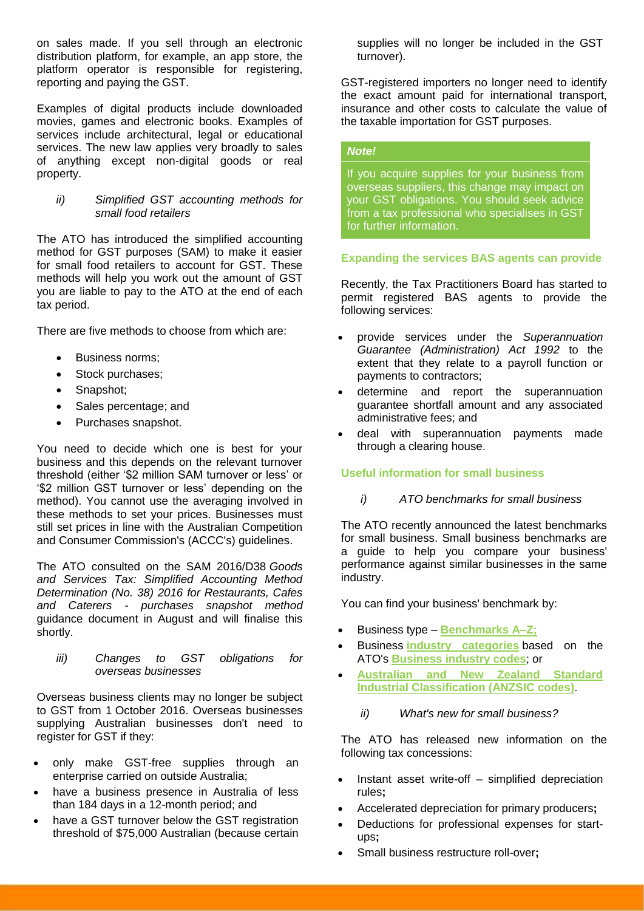on sales made. If you sell through an electronic distribution platform, for example, an app store, the platform operator is responsible for registering, reporting and paying the GST.

Examples of digital products include downloaded movies, games and electronic books. Examples of services include architectural, legal or educational services. The new law applies very broadly to sales of anything except non-digital goods or real property.

#### *ii) [Simplified GST accounting methods for](http://taxinstitute.us7.list-manage.com/track/click?u=59eba50675aaae33d12f1f12c&id=ef65888eb9&e=6fd6181ded)  [small food retailers](http://taxinstitute.us7.list-manage.com/track/click?u=59eba50675aaae33d12f1f12c&id=ef65888eb9&e=6fd6181ded)*

The ATO has introduced the simplified accounting method for GST purposes (SAM) to make it easier for small food retailers to account for GST. These methods will help you work out the amount of GST you are liable to pay to the ATO at the end of each tax period.

There are five methods to choose from which are:

- Business norms;
- Stock purchases;
- Snapshot;
- Sales percentage; and
- Purchases snapshot.

You need to decide which one is best for your business and this depends on the relevant turnover threshold (either '\$2 million SAM turnover or less' or '\$2 million GST turnover or less' depending on the method). You cannot use the averaging involved in these methods to set your prices. Businesses must still set prices in line with the Australian Competition and Consumer Commission's (ACCC's) guidelines.

The ATO consulted on the SAM 2016/D38 *Goods and Services Tax: Simplified Accounting Method Determination (No. 38) 2016 for Restaurants, Cafes and Caterers - purchases snapshot method* guidance document in August and will finalise this shortly.

*iii) [Changes to GST obligations for](http://taxinstitute.us7.list-manage.com/track/click?u=59eba50675aaae33d12f1f12c&id=fc6b7e9f33&e=6fd6181ded)  [overseas businesses](http://taxinstitute.us7.list-manage.com/track/click?u=59eba50675aaae33d12f1f12c&id=fc6b7e9f33&e=6fd6181ded)*

Overseas business clients may no longer be subject to GST from 1 October 2016. Overseas businesses supplying Australian businesses don't need to register for GST if they:

- only make GST-free supplies through an enterprise carried on outside Australia;
- have a business presence in Australia of less than 184 days in a 12-month period; and
- have a GST turnover below the GST registration threshold of \$75,000 Australian (because certain

supplies will no longer be included in the GST turnover).

GST-registered importers no longer need to identify the exact amount paid for international transport, insurance and other costs to calculate the value of the taxable importation for GST purposes.

# *Note!*

If you acquire supplies for your business from overseas suppliers, this change may impact on your GST obligations. You should seek advice from a tax professional who specialises in GST for further information.

## **[Expanding the services BAS agents can provide](http://taxinstitute.us7.list-manage.com/track/click?u=59eba50675aaae33d12f1f12c&id=034a2f9926&e=6fd6181ded)**

Recently, the Tax Practitioners Board has started to permit registered BAS agents to provide the following services:

- provide services under the *Superannuation Guarantee (Administration) Act 1992* to the extent that they relate to a payroll function or payments to contractors;
- determine and report the superannuation guarantee shortfall amount and any associated administrative fees; and
- deal with superannuation payments made through a clearing house.

## **Useful information for small business**

## *i) [ATO benchmarks for small business](http://taxinstitute.us7.list-manage.com/track/click?u=59eba50675aaae33d12f1f12c&id=5ba3cec10d&e=6fd6181ded)*

The ATO recently announced the latest benchmarks for small business. Small business benchmarks are a guide to help you compare your business' performance against similar businesses in the same industry.

You can find your business' benchmark by:

- Business type **[Benchmarks A–Z;](http://taxinstitute.us7.list-manage2.com/track/click?u=59eba50675aaae33d12f1f12c&id=f85240fc58&e=6fd6181ded)**
- Business **[industry categories](http://taxinstitute.us7.list-manage.com/track/click?u=59eba50675aaae33d12f1f12c&id=d68085996c&e=6fd6181ded)** based on the ATO's **[Business industry codes](http://taxinstitute.us7.list-manage1.com/track/click?u=59eba50675aaae33d12f1f12c&id=77627aa3bc&e=6fd6181ded)**; or
- **[Australian and New Zealand Standard](http://taxinstitute.us7.list-manage.com/track/click?u=59eba50675aaae33d12f1f12c&id=0462f2af41&e=6fd6181ded)  [Industrial Classification \(ANZSIC codes\)](http://taxinstitute.us7.list-manage.com/track/click?u=59eba50675aaae33d12f1f12c&id=0462f2af41&e=6fd6181ded)**.

## *ii) [What's new for small business?](http://taxinstitute.us7.list-manage.com/track/click?u=59eba50675aaae33d12f1f12c&id=fd565e00d2&e=6fd6181ded)*

The ATO has released new information on the following tax concessions:

- Instant asset write-off simplified depreciation rules**;**
- Accelerated depreciation for primary producers**;**
- Deductions for professional expenses for startups**;**
- Small business restructure roll-over**;**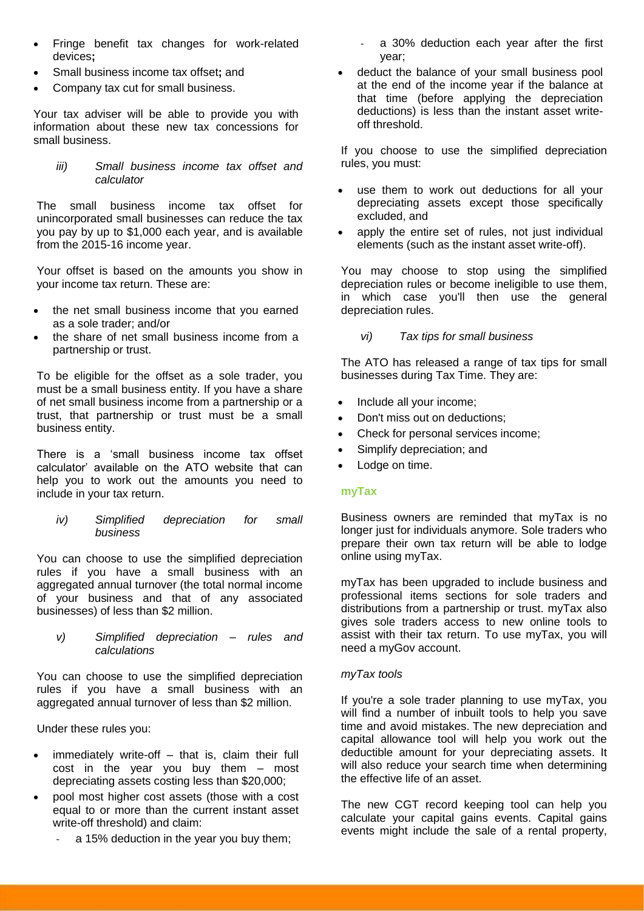- Fringe benefit tax changes for work-related devices**;**
- Small business income tax offset**;** and
- Company tax cut for small business.

Your tax adviser will be able to provide you with information about these new tax concessions for small business.

*iii) [Small business income tax offset and](http://taxinstitute.us7.list-manage2.com/track/click?u=59eba50675aaae33d12f1f12c&id=027780a62c&e=6fd6181ded)  [calculator](http://taxinstitute.us7.list-manage2.com/track/click?u=59eba50675aaae33d12f1f12c&id=027780a62c&e=6fd6181ded)*

The small business income tax offset for unincorporated small businesses can reduce the tax you pay by up to \$1,000 each year, and is available from the 2015-16 income year.

Your offset is based on the amounts you show in your income tax return. These are:

- the net small business income that you earned as a sole trader; and/or
- the share of net small business income from a partnership or trust.

To be eligible for the offset as a sole trader, you must be a small business entity. If you have a share of net small business income from a partnership or a trust, that partnership or trust must be a small business entity.

There is a 'small business income tax offset calculator' available on the ATO website that can help you to work out the amounts you need to include in your tax return.

*iv) [Simplified depreciation for small](http://taxinstitute.us7.list-manage.com/track/click?u=59eba50675aaae33d12f1f12c&id=8f17242e67&e=6fd6181ded)  [business](http://taxinstitute.us7.list-manage.com/track/click?u=59eba50675aaae33d12f1f12c&id=8f17242e67&e=6fd6181ded)*

You can choose to use the simplified depreciation rules if you have a small business with an aggregated annual turnover (the total normal income of your business and that of any associated businesses) of less than \$2 million.

*v) [Simplified depreciation –](http://taxinstitute.us7.list-manage.com/track/click?u=59eba50675aaae33d12f1f12c&id=22cffa8f1a&e=6fd6181ded) rules and [calculations](http://taxinstitute.us7.list-manage.com/track/click?u=59eba50675aaae33d12f1f12c&id=22cffa8f1a&e=6fd6181ded)*

You can choose to use the simplified depreciation rules if you have a small business with an aggregated annual turnover of less than \$2 million.

Under these rules you:

- immediately write-off that is, claim their full cost in the year you buy them – most depreciating assets costing less than \$20,000;
- pool most higher cost assets (those with a cost equal to or more than the current instant asset write-off threshold) and claim:
	- a 15% deduction in the year you buy them;
- a 30% deduction each year after the first year;
- deduct the balance of your small business pool at the end of the income year if the balance at that time (before applying the depreciation deductions) is less than the instant asset writeoff threshold.

If you choose to use the simplified depreciation rules, you must:

- use them to work out deductions for all your depreciating assets except those specifically excluded, and
- apply the entire set of rules, not just individual elements (such as the instant asset write-off).

You may choose to stop using the simplified depreciation rules or become ineligible to use them, in which case you'll then use the general depreciation rules.

# *vi) [Tax tips for small business](http://taxinstitute.us7.list-manage1.com/track/click?u=59eba50675aaae33d12f1f12c&id=d55958085f&e=6fd6181ded)*

The ATO has released a range of tax tips for small businesses during Tax Time. They are:

- Include all your income;
- Don't miss out on deductions;
- Check for personal services income;
- Simplify depreciation; and
- Lodge on time.

## **myTax**

Business owners are reminded that myTax is no longer just for individuals anymore. Sole traders who prepare their own tax return will be able to lodge online using myTax.

myTax has been upgraded to include business and professional items sections for sole traders and distributions from a partnership or trust. myTax also gives sole traders access to new online tools to assist with their tax return. To use myTax, you will need a myGov account.

## *myTax tools*

If you're a sole trader planning to use myTax, you will find a number of inbuilt tools to help you save time and avoid mistakes. The new depreciation and capital allowance tool will help you work out the deductible amount for your depreciating assets. It will also reduce your search time when determining the effective life of an asset.

The new CGT record keeping tool can help you calculate your capital gains events. Capital gains events might include the sale of a rental property,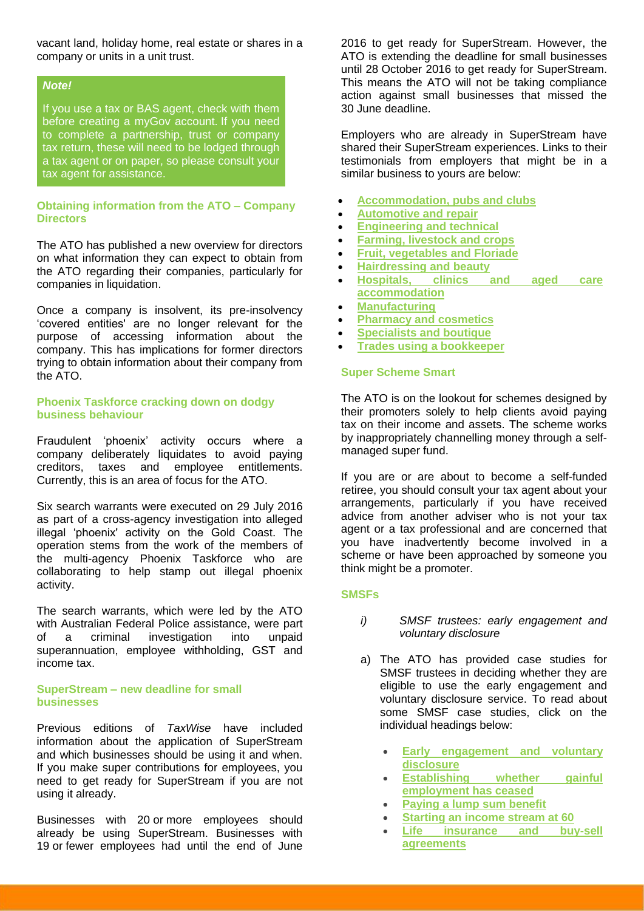vacant land, holiday home, real estate or shares in a company or units in a unit trust.

#### *Note!*

If you use a tax or BAS agent, check with them before creating a myGov account. If you need to complete a partnership, trust or company tax return, these will need to be lodged through a tax agent or on paper, so please consult your tax agent for assistance.

## **[Obtaining information from the ATO –](http://taxinstitute.us7.list-manage1.com/track/click?u=59eba50675aaae33d12f1f12c&id=b4408ba215&e=6fd6181ded) Company [Directors](http://taxinstitute.us7.list-manage1.com/track/click?u=59eba50675aaae33d12f1f12c&id=b4408ba215&e=6fd6181ded)**

The ATO has published a new overview for directors on what information they can expect to obtain from the ATO regarding their companies, particularly for companies in liquidation.

Once a company is insolvent, its pre-insolvency 'covered entities' are no longer relevant for the purpose of accessing information about the company. This has implications for former directors trying to obtain information about their company from the ATO.

## **[Phoenix Taskforce cracking down on dodgy](http://taxinstitute.us7.list-manage.com/track/click?u=59eba50675aaae33d12f1f12c&id=be636eed80&e=6fd6181ded)  [business behaviour](http://taxinstitute.us7.list-manage.com/track/click?u=59eba50675aaae33d12f1f12c&id=be636eed80&e=6fd6181ded)**

Fraudulent 'phoenix' activity occurs where a company deliberately liquidates to avoid paying creditors, taxes and employee entitlements. Currently, this is an area of focus for the ATO.

Six search warrants were executed on 29 July 2016 as part of a cross-agency investigation into alleged illegal 'phoenix' activity on the Gold Coast. The operation stems from the work of the members of the multi-agency Phoenix Taskforce who are collaborating to help stamp out illegal phoenix activity.

The search warrants, which were led by the ATO with Australian Federal Police assistance, were part of a criminal investigation into unpaid superannuation, employee withholding, GST and income tax.

#### **[SuperStream –](http://taxinstitute.us7.list-manage.com/track/click?u=59eba50675aaae33d12f1f12c&id=975b4b17e9&e=6fd6181ded) new deadline for small businesses**

Previous editions of *TaxWise* have included information about the application of SuperStream and which businesses should be using it and when. If you make super contributions for employees, you need to get ready for SuperStream if you are not using it already.

Businesses with 20 or more employees should already be using SuperStream. Businesses with 19 or fewer employees had until the end of June

2016 to get ready for SuperStream. However, the ATO is extending the deadline for small businesses until 28 October 2016 to get ready for SuperStream. This means the ATO will not be taking compliance action against small businesses that missed the 30 June deadline.

Employers who are already in SuperStream have shared their SuperStream experiences. Links to their testimonials from employers that might be in a similar business to yours are below:

- **[Accommodation, pubs and clubs](http://taxinstitute.us7.list-manage.com/track/click?u=59eba50675aaae33d12f1f12c&id=6853b3d7b0&e=6fd6181ded)**
- **[Automotive and repair](http://taxinstitute.us7.list-manage.com/track/click?u=59eba50675aaae33d12f1f12c&id=fea7ff0e4d&e=6fd6181ded)**
- **[Engineering and technical](http://taxinstitute.us7.list-manage.com/track/click?u=59eba50675aaae33d12f1f12c&id=f20235c5eb&e=6fd6181ded)**
- **[Farming, livestock and crops](http://taxinstitute.us7.list-manage.com/track/click?u=59eba50675aaae33d12f1f12c&id=ca2d96d370&e=6fd6181ded)**
- **[Fruit, vegetables and Floriade](http://taxinstitute.us7.list-manage.com/track/click?u=59eba50675aaae33d12f1f12c&id=9837ae5260&e=6fd6181ded)**
- **[Hairdressing and beauty](http://taxinstitute.us7.list-manage.com/track/click?u=59eba50675aaae33d12f1f12c&id=2afb934bab&e=6fd6181ded)**
- **[Hospitals, clinics and aged care](http://taxinstitute.us7.list-manage1.com/track/click?u=59eba50675aaae33d12f1f12c&id=0701776b2f&e=6fd6181ded)  [accommodation](http://taxinstitute.us7.list-manage1.com/track/click?u=59eba50675aaae33d12f1f12c&id=0701776b2f&e=6fd6181ded)**
- **[Manufacturing](http://taxinstitute.us7.list-manage.com/track/click?u=59eba50675aaae33d12f1f12c&id=00909e8341&e=6fd6181ded)**
- **[Pharmacy and cosmetics](http://taxinstitute.us7.list-manage.com/track/click?u=59eba50675aaae33d12f1f12c&id=e9d4136081&e=6fd6181ded)**
- **[Specialists and boutique](http://taxinstitute.us7.list-manage.com/track/click?u=59eba50675aaae33d12f1f12c&id=28cfca795a&e=6fd6181ded)**
- **[Trades using a bookkeeper](http://taxinstitute.us7.list-manage.com/track/click?u=59eba50675aaae33d12f1f12c&id=e0cbc7dcce&e=6fd6181ded)**

## **[Super Scheme Smart](http://taxinstitute.us7.list-manage.com/track/click?u=59eba50675aaae33d12f1f12c&id=92890626d7&e=6fd6181ded)**

The ATO is on the lookout for schemes designed by their promoters solely to help clients avoid paying tax on their income and assets. The scheme works by inappropriately channelling money through a selfmanaged super fund.

If you are or are about to become a self-funded retiree, you should consult your tax agent about your arrangements, particularly if you have received advice from another adviser who is not your tax agent or a tax professional and are concerned that you have inadvertently become involved in a scheme or have been approached by someone you think might be a promoter.

#### **SMSFs**

- *i) SMSF [trustees: early engagement and](http://taxinstitute.us7.list-manage.com/track/click?u=59eba50675aaae33d12f1f12c&id=9369ed2ffd&e=6fd6181ded)  [voluntary disclosure](http://taxinstitute.us7.list-manage.com/track/click?u=59eba50675aaae33d12f1f12c&id=9369ed2ffd&e=6fd6181ded)*
- a) The ATO has provided case studies for SMSF trustees in deciding whether they are eligible to use the early engagement and voluntary disclosure service. To read about some SMSF case studies, click on the individual headings below:
	- **[Early engagement and voluntary](http://taxinstitute.us7.list-manage.com/track/click?u=59eba50675aaae33d12f1f12c&id=19af362c8b&e=6fd6181ded)  [disclosure](http://taxinstitute.us7.list-manage.com/track/click?u=59eba50675aaae33d12f1f12c&id=19af362c8b&e=6fd6181ded)**
	- **[Establishing whether gainful](http://taxinstitute.us7.list-manage1.com/track/click?u=59eba50675aaae33d12f1f12c&id=47d9484aec&e=6fd6181ded)  [employment has ceased](http://taxinstitute.us7.list-manage1.com/track/click?u=59eba50675aaae33d12f1f12c&id=47d9484aec&e=6fd6181ded)**
	- **[Paying a lump sum benefit](http://taxinstitute.us7.list-manage2.com/track/click?u=59eba50675aaae33d12f1f12c&id=24c352136e&e=6fd6181ded)**
	- **[Starting an income stream at 60](http://taxinstitute.us7.list-manage1.com/track/click?u=59eba50675aaae33d12f1f12c&id=894005d4cc&e=6fd6181ded)**
	- **[Life insurance and buy-sell](http://taxinstitute.us7.list-manage1.com/track/click?u=59eba50675aaae33d12f1f12c&id=1b49303c19&e=6fd6181ded) [agreements](http://taxinstitute.us7.list-manage1.com/track/click?u=59eba50675aaae33d12f1f12c&id=1b49303c19&e=6fd6181ded)**